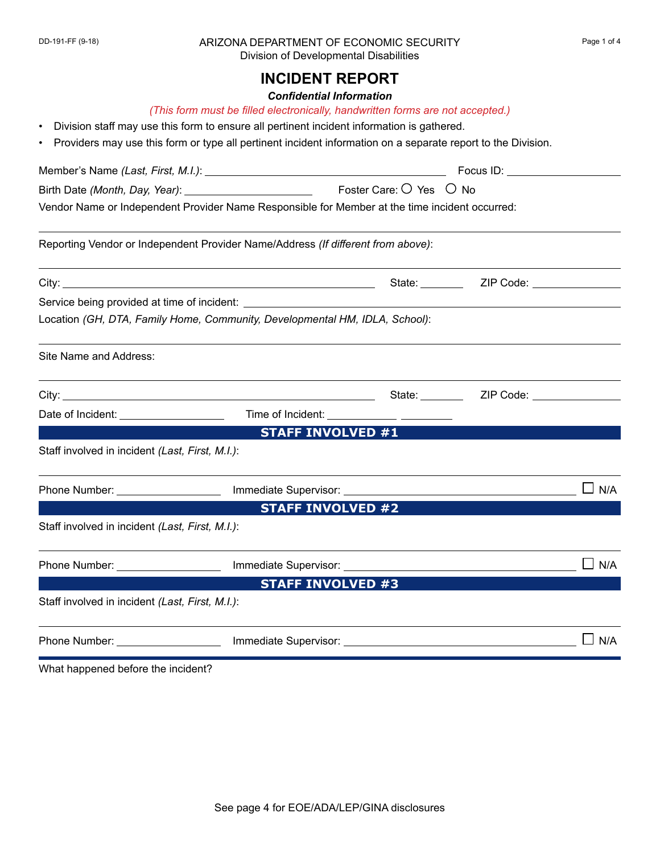## DD-191-FF (9-18) ARIZONA DEPARTMENT OF ECONOMIC SECURITY Page 1 of 4 Division of Developmental Disabilities

# *Confidential Information*

- Division staff may use this form to ensure all pertinent incident information is gathered.
- Providers may use this form or type all pertinent incident information on a separate report to the Division.

|                                                                                                |                                                                                   | Focus ID: <b>Example 20</b> |              |  |  |
|------------------------------------------------------------------------------------------------|-----------------------------------------------------------------------------------|-----------------------------|--------------|--|--|
|                                                                                                |                                                                                   |                             |              |  |  |
| Vendor Name or Independent Provider Name Responsible for Member at the time incident occurred: |                                                                                   |                             |              |  |  |
|                                                                                                | Reporting Vendor or Independent Provider Name/Address (If different from above):  |                             |              |  |  |
|                                                                                                |                                                                                   |                             |              |  |  |
|                                                                                                |                                                                                   |                             |              |  |  |
|                                                                                                | Location (GH, DTA, Family Home, Community, Developmental HM, IDLA, School):       |                             |              |  |  |
| Site Name and Address:                                                                         |                                                                                   |                             |              |  |  |
|                                                                                                | State: _______                                                                    | ZIP Code: New York Code:    |              |  |  |
|                                                                                                |                                                                                   | $\vert \textbf{v} \vert$    |              |  |  |
|                                                                                                | <b>STAFF INVOLVED #1</b>                                                          |                             |              |  |  |
| Staff involved in incident (Last, First, M.I.):                                                |                                                                                   |                             |              |  |  |
| Phone Number: ___________________                                                              |                                                                                   |                             | $\sqcup$ N/A |  |  |
|                                                                                                | <b>STAFF INVOLVED #2</b>                                                          |                             |              |  |  |
| Staff involved in incident (Last, First, M.I.):                                                |                                                                                   |                             |              |  |  |
|                                                                                                | Phone Number: ________________________ Immediate Supervisor: ____________________ |                             | $\Box$ N/A   |  |  |
|                                                                                                | <b>STAFF INVOLVED #3</b>                                                          |                             |              |  |  |
| Staff involved in incident (Last, First, M.I.):                                                |                                                                                   |                             |              |  |  |
| Phone Number: ____________________                                                             |                                                                                   |                             | N/A          |  |  |

What happened before the incident?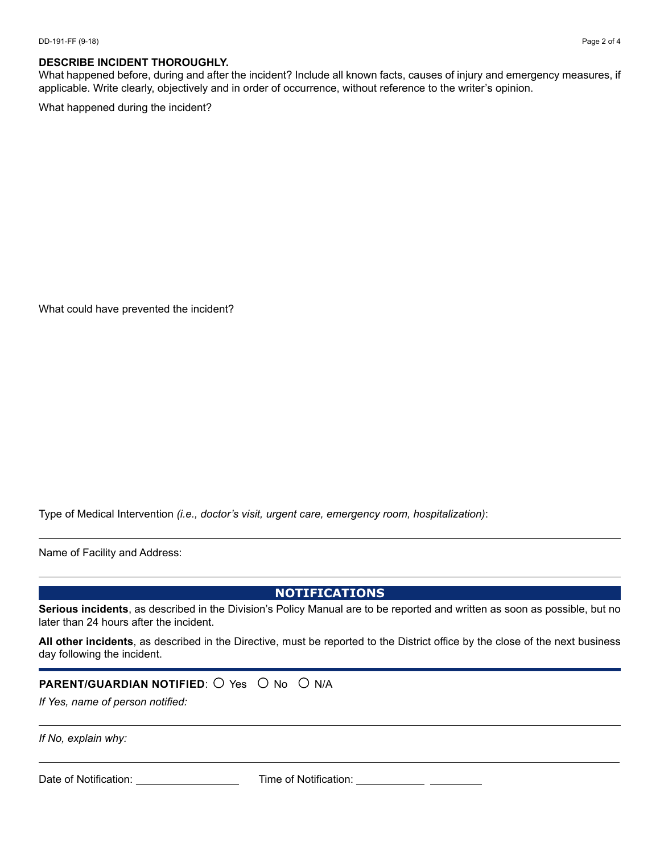#### **DESCRIBE INCIDENT THOROUGHLY.**

What happened before, during and after the incident? Include all known facts, causes of injury and emergency measures, if applicable. Write clearly, objectively and in order of occurrence, without reference to the writer's opinion.

What happened during the incident?

What could have prevented the incident?

Type of Medical Intervention *(i.e., doctor's visit, urgent care, emergency room, hospitalization)*:

Name of Facility and Address:

**NOTIFICATIONS** 

**Serious incidents**, as described in the Division's Policy Manual are to be reported and written as soon as possible, but no later than 24 hours after the incident.

**All other incidents**, as described in the Directive, must be reported to the District office by the close of the next business day following the incident.

#### **PARENT/GUARDIAN NOTIFIED:**  $\bigcirc$  Yes  $\bigcirc$  No  $\bigcirc$  N/A

*If Yes, name of person notified:* 

*If No, explain why:*

Date of Notification: \_\_\_\_\_\_\_\_\_\_\_\_\_\_\_\_\_\_\_\_ Time of Notification: <sub>.</sub>

 $\vert \textbf{v} \vert$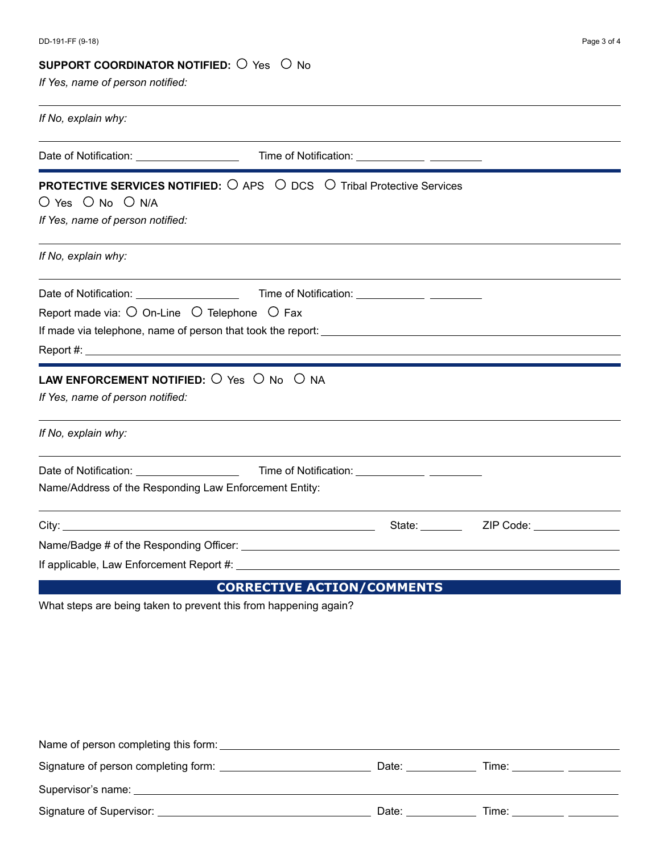### **SUPPORT COORDINATOR NOTIFIED:**  $\cup$  Yes  $\cup$  No

*If Yes, name of person notified:*

| If No, explain why:                                                                                             |                                                                                                          |                          |
|-----------------------------------------------------------------------------------------------------------------|----------------------------------------------------------------------------------------------------------|--------------------------|
| Date of Notification: Date of Notification:                                                                     |                                                                                                          | $\vert \mathbf{v} \vert$ |
| $O$ Yes $O$ No $O$ N/A<br>If Yes, name of person notified:                                                      | <b>PROTECTIVE SERVICES NOTIFIED:</b> $\bigcirc$ APS $\bigcirc$ DCS $\bigcirc$ Tribal Protective Services |                          |
| If No, explain why:                                                                                             |                                                                                                          |                          |
| Report made via: $\bigcirc$ On-Line $\bigcirc$ Telephone $\bigcirc$ Fax                                         |                                                                                                          | $\vert$ $\vert$          |
| <b>LAW ENFORCEMENT NOTIFIED:</b> $\bigcirc$ Yes $\bigcirc$ No $\bigcirc$ NA<br>If Yes, name of person notified: |                                                                                                          |                          |
| If No, explain why:                                                                                             |                                                                                                          |                          |
| Name/Address of the Responding Law Enforcement Entity:                                                          |                                                                                                          | $\Box$                   |
|                                                                                                                 |                                                                                                          |                          |
|                                                                                                                 |                                                                                                          |                          |
|                                                                                                                 |                                                                                                          |                          |
|                                                                                                                 | <b>CORRECTIVE ACTION/COMMENTS</b>                                                                        |                          |

What steps are being taken to prevent this from happening again?

|                                                                                                                                                                                                                                | Date: | Time: T |  |
|--------------------------------------------------------------------------------------------------------------------------------------------------------------------------------------------------------------------------------|-------|---------|--|
| Supervisor's name: Value of the Contract of the Contract of the Contract of the Contract of the Contract of the Contract of the Contract of the Contract of the Contract of the Contract of the Contract of the Contract of th |       |         |  |
|                                                                                                                                                                                                                                | Date: | Time:   |  |